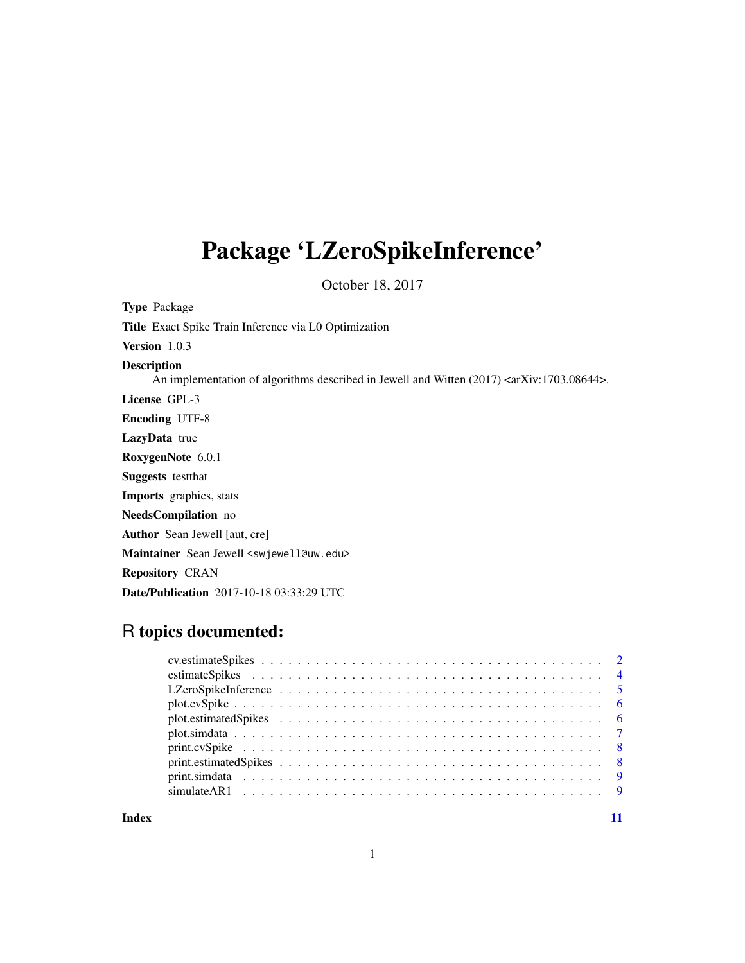# Package 'LZeroSpikeInference'

October 18, 2017

| <b>Type Package</b>                                                                                                        |
|----------------------------------------------------------------------------------------------------------------------------|
| <b>Title</b> Exact Spike Train Inference via L0 Optimization                                                               |
| Version $1.0.3$                                                                                                            |
| <b>Description</b><br>An implementation of algorithms described in Jewell and Witten $(2017)$ <ar xiv:1703.08644="">.</ar> |
| License GPL-3                                                                                                              |
| <b>Encoding UTF-8</b>                                                                                                      |
| LazyData true                                                                                                              |
| RoxygenNote 6.0.1                                                                                                          |
| <b>Suggests</b> test that                                                                                                  |
| <b>Imports</b> graphics, stats                                                                                             |
| NeedsCompilation no                                                                                                        |
| <b>Author</b> Sean Jewell [aut, cre]                                                                                       |
| Maintainer Sean Jewell <swjewell@uw.edu></swjewell@uw.edu>                                                                 |
| <b>Repository CRAN</b>                                                                                                     |
| <b>Date/Publication</b> 2017-10-18 03:33:29 UTC                                                                            |

# R topics documented:

1

**Index** [11](#page-10-0)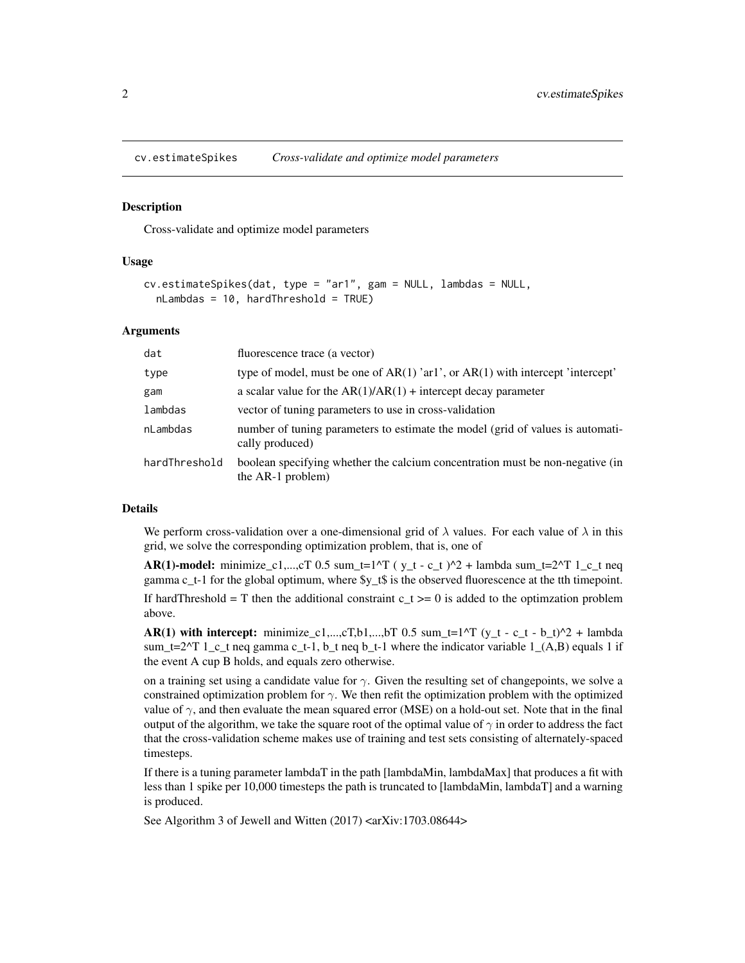<span id="page-1-1"></span><span id="page-1-0"></span>cv.estimateSpikes *Cross-validate and optimize model parameters*

#### **Description**

Cross-validate and optimize model parameters

#### Usage

```
cv.estimateSpikes(dat, type = "ar1", gam = NULL, lambdas = NULL,
  nLambdas = 10, hardThreshold = TRUE)
```
#### Arguments

| dat           | fluorescence trace (a vector)                                                                      |
|---------------|----------------------------------------------------------------------------------------------------|
| type          | type of model, must be one of $AR(1)$ 'arl', or $AR(1)$ with intercept 'intercept'                 |
| gam           | a scalar value for the $AR(1)/AR(1)$ + intercept decay parameter                                   |
| lambdas       | vector of tuning parameters to use in cross-validation                                             |
| nLambdas      | number of tuning parameters to estimate the model (grid of values is automati-<br>cally produced)  |
| hardThreshold | boolean specifying whether the calcium concentration must be non-negative (in<br>the AR-1 problem) |

# Details

We perform cross-validation over a one-dimensional grid of  $\lambda$  values. For each value of  $\lambda$  in this grid, we solve the corresponding optimization problem, that is, one of

AR(1)-model: minimize\_c1,...,cT 0.5 sum\_t=1^T ( $y_t - c_t$  )^2 + lambda sum\_t=2^T 1\_c\_t neq gamma c\_t-1 for the global optimum, where \$y\_t\$ is the observed fluorescence at the tth timepoint.

If hardThreshold = T then the additional constraint  $c_t$  >= 0 is added to the optimization problem above.

AR(1) with intercept: minimize\_c1,...,cT,b1,...,bT 0.5 sum\_t=1^T (y\_t - c\_t - b\_t)^2 + lambda sum\_t=2^T 1\_c\_t neq gamma c\_t-1, b\_t neq b\_t-1 where the indicator variable 1\_(A,B) equals 1 if the event A cup B holds, and equals zero otherwise.

on a training set using a candidate value for  $\gamma$ . Given the resulting set of changepoints, we solve a constrained optimization problem for  $\gamma$ . We then refit the optimization problem with the optimized value of  $\gamma$ , and then evaluate the mean squared error (MSE) on a hold-out set. Note that in the final output of the algorithm, we take the square root of the optimal value of  $\gamma$  in order to address the fact that the cross-validation scheme makes use of training and test sets consisting of alternately-spaced timesteps.

If there is a tuning parameter lambdaT in the path [lambdaMin, lambdaMax] that produces a fit with less than 1 spike per 10,000 timesteps the path is truncated to [lambdaMin, lambdaT] and a warning is produced.

See Algorithm 3 of Jewell and Witten (2017) <arXiv:1703.08644>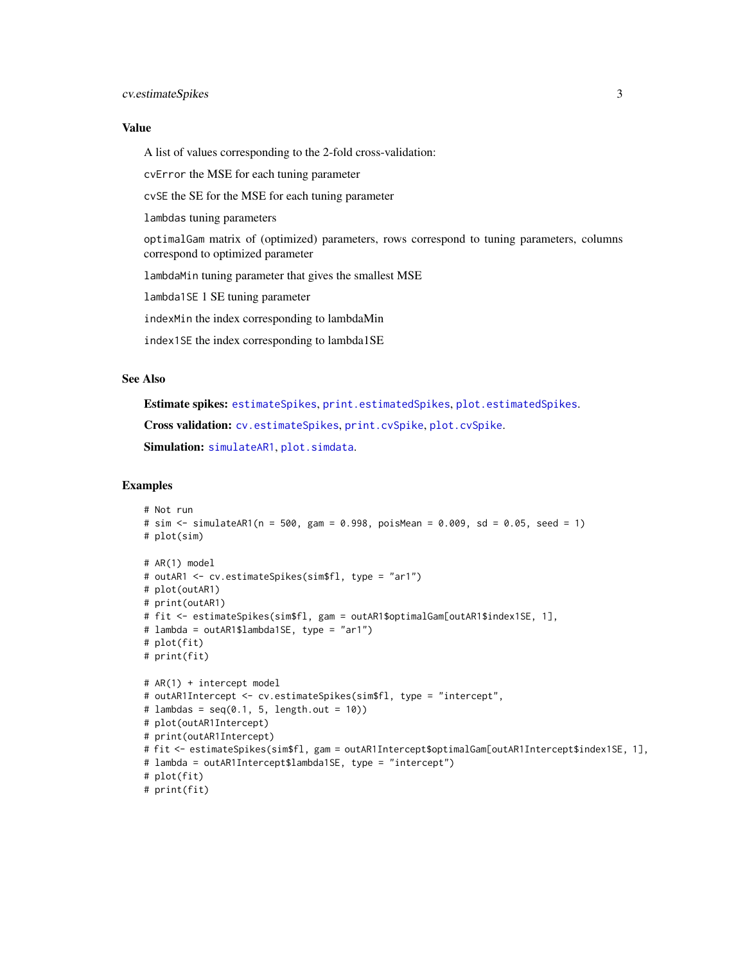#### <span id="page-2-0"></span>Value

A list of values corresponding to the 2-fold cross-validation:

cvError the MSE for each tuning parameter

cvSE the SE for the MSE for each tuning parameter

lambdas tuning parameters

optimalGam matrix of (optimized) parameters, rows correspond to tuning parameters, columns correspond to optimized parameter

lambdaMin tuning parameter that gives the smallest MSE

lambda1SE 1 SE tuning parameter

indexMin the index corresponding to lambdaMin

index1SE the index corresponding to lambda1SE

#### See Also

Estimate spikes: [estimateSpikes](#page-3-1), [print.estimatedSpikes](#page-7-1), [plot.estimatedSpikes](#page-5-1).

Cross validation: [cv.estimateSpikes](#page-1-1), [print.cvSpike](#page-7-2), [plot.cvSpike](#page-5-2).

Simulation: [simulateAR1](#page-8-1), [plot.simdata](#page-6-1).

#### Examples

```
# Not run
# sim <- simulateAR1(n = 500, gam = 0.998, poisMean = 0.009, sd = 0.05, seed = 1)
# plot(sim)
# AR(1) model
# outAR1 <- cv.estimateSpikes(sim$fl, type = "ar1")
# plot(outAR1)
# print(outAR1)
# fit <- estimateSpikes(sim$fl, gam = outAR1$optimalGam[outAR1$index1SE, 1],
# lambda = outAR1$lambda1SE, type = "ar1")
# plot(fit)
# print(fit)
# AR(1) + intercept model
# outAR1Intercept <- cv.estimateSpikes(sim$fl, type = "intercept",
# lambdas = seq(0.1, 5, length.out = 10)# plot(outAR1Intercept)
# print(outAR1Intercept)
# fit <- estimateSpikes(sim$fl, gam = outAR1Intercept$optimalGam[outAR1Intercept$index1SE, 1],
# lambda = outAR1Intercept$lambda1SE, type = "intercept")
# plot(fit)
# print(fit)
```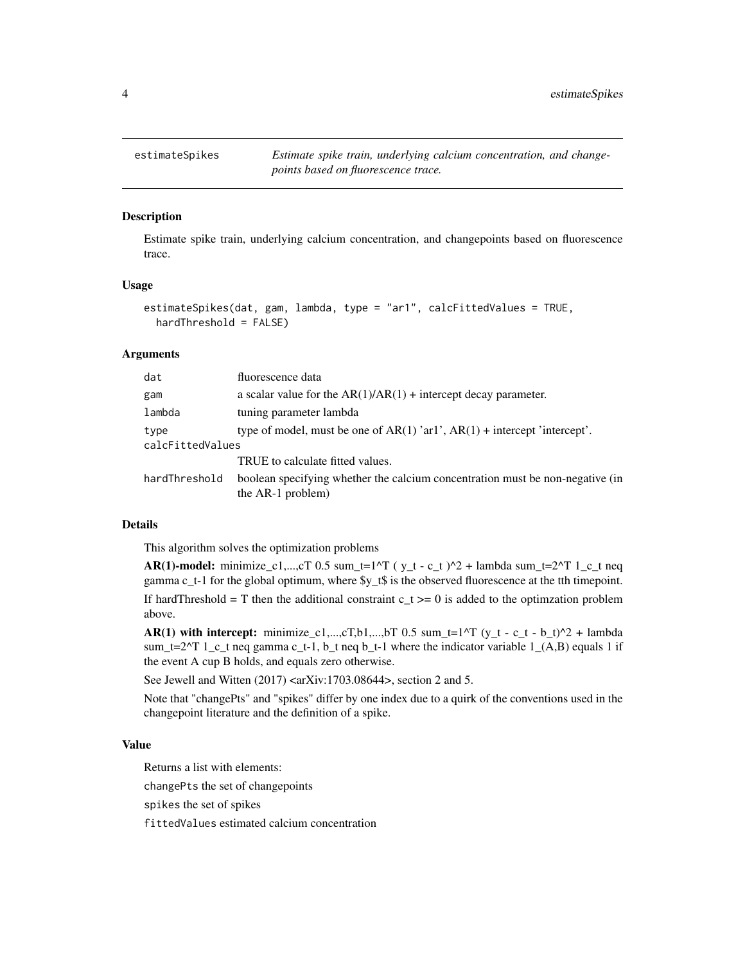<span id="page-3-1"></span><span id="page-3-0"></span>

#### **Description**

Estimate spike train, underlying calcium concentration, and changepoints based on fluorescence trace.

#### Usage

```
estimateSpikes(dat, gam, lambda, type = "ar1", calcFittedValues = TRUE,
 hardThreshold = FALSE)
```
#### Arguments

| dat                                                                                   | fluorescence data                                                                                  |  |  |
|---------------------------------------------------------------------------------------|----------------------------------------------------------------------------------------------------|--|--|
| gam                                                                                   | a scalar value for the $AR(1)/AR(1)$ + intercept decay parameter.                                  |  |  |
| lambda                                                                                | tuning parameter lambda                                                                            |  |  |
| type of model, must be one of $AR(1)$ 'ar1', $AR(1)$ + intercept 'intercept'.<br>type |                                                                                                    |  |  |
| calcFittedValues                                                                      |                                                                                                    |  |  |
|                                                                                       | TRUE to calculate fitted values.                                                                   |  |  |
| hardThreshold                                                                         | boolean specifying whether the calcium concentration must be non-negative (in<br>the AR-1 problem) |  |  |

#### Details

This algorithm solves the optimization problems

AR(1)-model: minimize\_c1,...,cT 0.5 sum\_t=1^T ( $y_t - c_t$  )^2 + lambda sum\_t=2^T 1\_c\_t neq gamma c\_t-1 for the global optimum, where \$y\_t\$ is the observed fluorescence at the tth timepoint. If hardThreshold = T then the additional constraint  $c_t$  >= 0 is added to the optimization problem above.

AR(1) with intercept: minimize\_c1,...,cT,b1,...,bT 0.5 sum\_t=1^T (y\_t - c\_t - b\_t)^2 + lambda sum\_t=2^T 1\_c\_t neq gamma c\_t-1, b\_t neq b\_t-1 where the indicator variable  $1_-(A,B)$  equals 1 if the event A cup B holds, and equals zero otherwise.

See Jewell and Witten (2017) <arXiv:1703.08644>, section 2 and 5.

Note that "changePts" and "spikes" differ by one index due to a quirk of the conventions used in the changepoint literature and the definition of a spike.

#### Value

Returns a list with elements:

changePts the set of changepoints

spikes the set of spikes

fittedValues estimated calcium concentration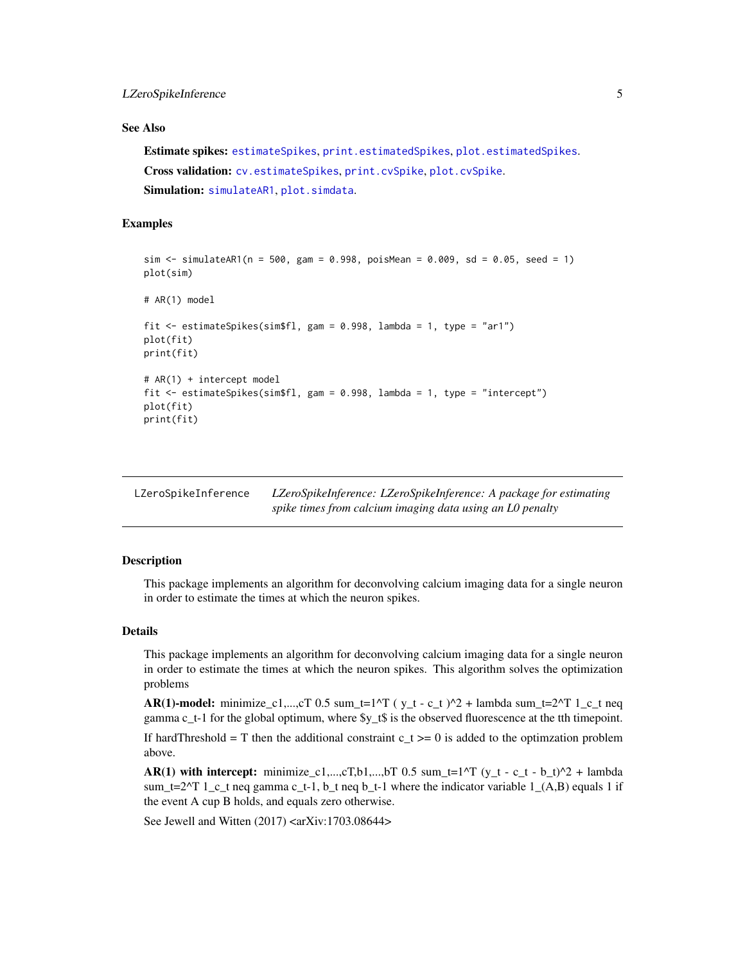#### <span id="page-4-0"></span>See Also

Estimate spikes: [estimateSpikes](#page-3-1), [print.estimatedSpikes](#page-7-1), [plot.estimatedSpikes](#page-5-1). Cross validation: [cv.estimateSpikes](#page-1-1), [print.cvSpike](#page-7-2), [plot.cvSpike](#page-5-2). Simulation: [simulateAR1](#page-8-1), [plot.simdata](#page-6-1).

#### Examples

```
sim \le simulateAR1(n = 500, gam = 0.998, poisMean = 0.009, sd = 0.05, seed = 1)
plot(sim)
# AR(1) model
fit <- estimateSpikes(sim$fl, gam = 0.998, lambda = 1, type = "ar1")
plot(fit)
print(fit)
# AR(1) + intercept model
fit <- estimateSpikes(sim$fl, gam = 0.998, lambda = 1, type = "intercept")
plot(fit)
print(fit)
```

| LZeroSpikeInference | LZeroSpikeInference: LZeroSpikeInference: A package for estimating |
|---------------------|--------------------------------------------------------------------|
|                     | spike times from calcium imaging data using an LO penalty          |

# **Description**

This package implements an algorithm for deconvolving calcium imaging data for a single neuron in order to estimate the times at which the neuron spikes.

#### Details

This package implements an algorithm for deconvolving calcium imaging data for a single neuron in order to estimate the times at which the neuron spikes. This algorithm solves the optimization problems

AR(1)-model: minimize\_c1,...,cT 0.5 sum\_t=1^T ( $y_t - c_t$ )^2 + lambda sum\_t=2^T 1\_c\_t neq gamma c\_t-1 for the global optimum, where \$y\_t\$ is the observed fluorescence at the tth timepoint. If hardThreshold = T then the additional constraint c  $t \ge 0$  is added to the optimization problem above.

AR(1) with intercept: minimize\_c1,...,cT,b1,...,bT 0.5 sum\_t=1^T (y\_t - c\_t - b\_t)^2 + lambda sum\_t=2^T 1\_c\_t neq gamma c\_t-1, b\_t neq b\_t-1 where the indicator variable  $1_{(A,B)}$  equals 1 if the event A cup B holds, and equals zero otherwise.

See Jewell and Witten  $(2017)$  <arXiv:1703.08644>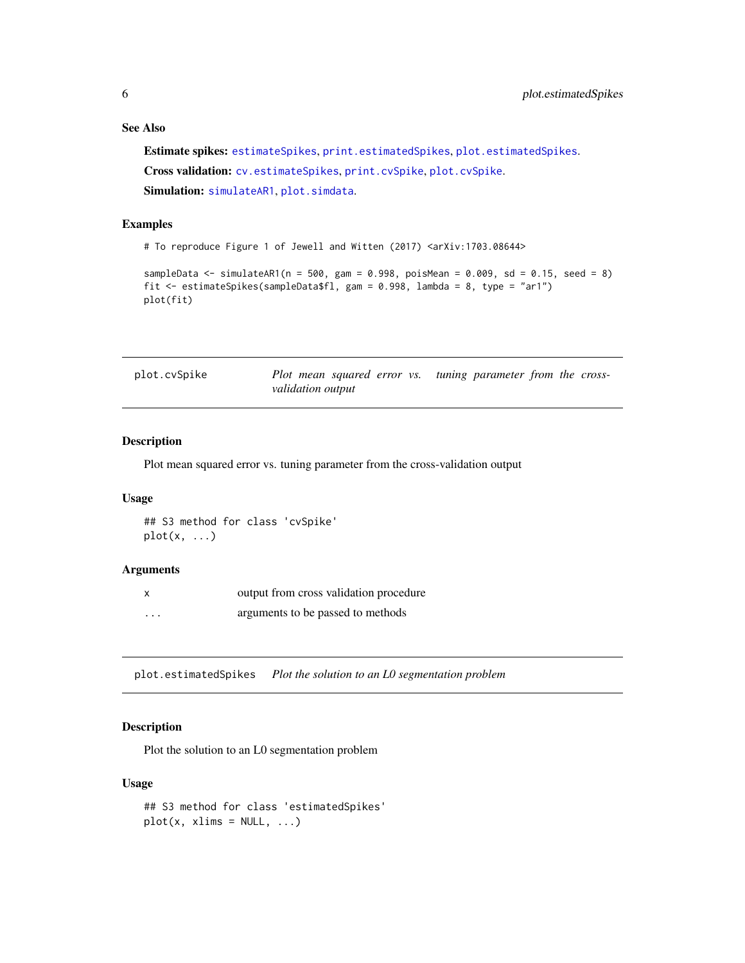# See Also

Estimate spikes: [estimateSpikes](#page-3-1), [print.estimatedSpikes](#page-7-1), [plot.estimatedSpikes](#page-5-1). Cross validation: [cv.estimateSpikes](#page-1-1), [print.cvSpike](#page-7-2), [plot.cvSpike](#page-5-2). Simulation: [simulateAR1](#page-8-1), [plot.simdata](#page-6-1).

#### Examples

# To reproduce Figure 1 of Jewell and Witten (2017) <arXiv:1703.08644>

```
sampleData <- simulateAR1(n = 500, gam = 0.998, poisMean = 0.009, sd = 0.15, seed = 8)
fit <- estimateSpikes(sampleData$fl, gam = 0.998, lambda = 8, type = "ar1")
plot(fit)
```
<span id="page-5-2"></span>

| plot.cvSpike | Plot mean squared error vs. tuning parameter from the cross- |  |  |  |
|--------------|--------------------------------------------------------------|--|--|--|
|              | validation output                                            |  |  |  |

# Description

Plot mean squared error vs. tuning parameter from the cross-validation output

# Usage

```
## S3 method for class 'cvSpike'
plot(x, \ldots)
```
#### Arguments

| $\mathsf{x}$ | output from cross validation procedure |
|--------------|----------------------------------------|
| $\cdots$     | arguments to be passed to methods      |

<span id="page-5-1"></span>plot.estimatedSpikes *Plot the solution to an L0 segmentation problem*

# Description

Plot the solution to an L0 segmentation problem

# Usage

```
## S3 method for class 'estimatedSpikes'
plot(x, xlims = NULL, ...)
```
<span id="page-5-0"></span>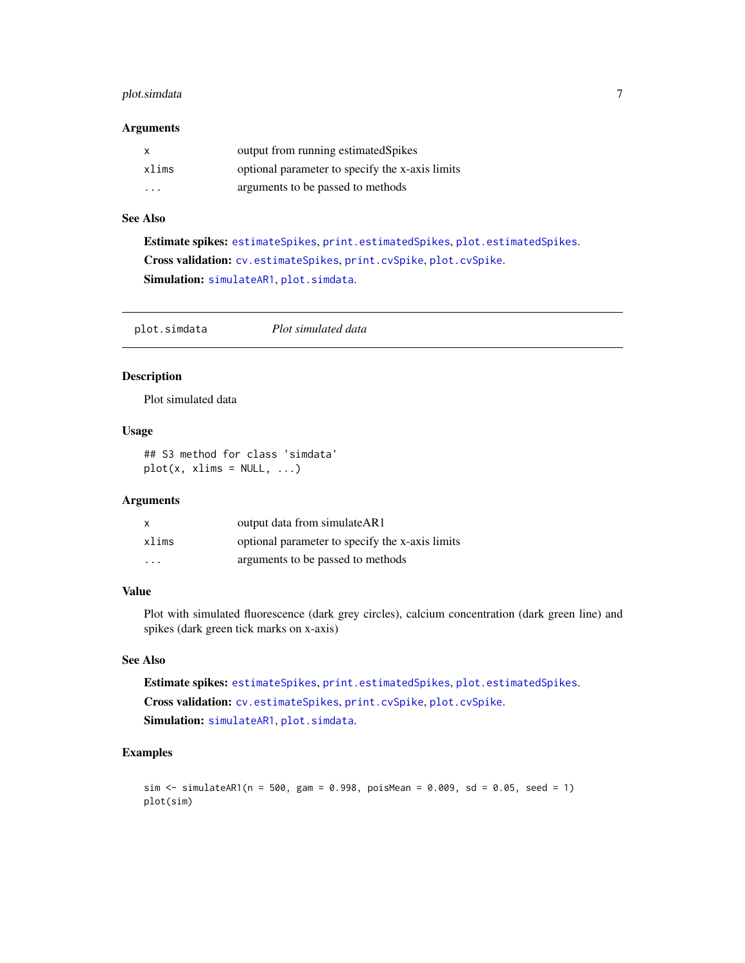# <span id="page-6-0"></span>plot.simdata 7

#### Arguments

| x                       | output from running estimated Spikes            |
|-------------------------|-------------------------------------------------|
| xlims                   | optional parameter to specify the x-axis limits |
| $\cdot$ $\cdot$ $\cdot$ | arguments to be passed to methods               |

#### See Also

Estimate spikes: [estimateSpikes](#page-3-1), [print.estimatedSpikes](#page-7-1), [plot.estimatedSpikes](#page-5-1). Cross validation: [cv.estimateSpikes](#page-1-1), [print.cvSpike](#page-7-2), [plot.cvSpike](#page-5-2). Simulation: [simulateAR1](#page-8-1), [plot.simdata](#page-6-1).

<span id="page-6-1"></span>plot.simdata *Plot simulated data*

# Description

Plot simulated data

## Usage

## S3 method for class 'simdata'  $plot(x, xlims = NULL, ...)$ 

#### Arguments

| $\mathsf{x}$            | output data from simulateAR1                    |
|-------------------------|-------------------------------------------------|
| xlims                   | optional parameter to specify the x-axis limits |
| $\cdot$ $\cdot$ $\cdot$ | arguments to be passed to methods               |

# Value

Plot with simulated fluorescence (dark grey circles), calcium concentration (dark green line) and spikes (dark green tick marks on x-axis)

# See Also

Estimate spikes: [estimateSpikes](#page-3-1), [print.estimatedSpikes](#page-7-1), [plot.estimatedSpikes](#page-5-1). Cross validation: [cv.estimateSpikes](#page-1-1), [print.cvSpike](#page-7-2), [plot.cvSpike](#page-5-2). Simulation: [simulateAR1](#page-8-1), [plot.simdata](#page-6-1).

# Examples

```
sim <- simulateAR1(n = 500, gam = 0.998, poisMean = 0.009, sd = 0.05, seed = 1)
plot(sim)
```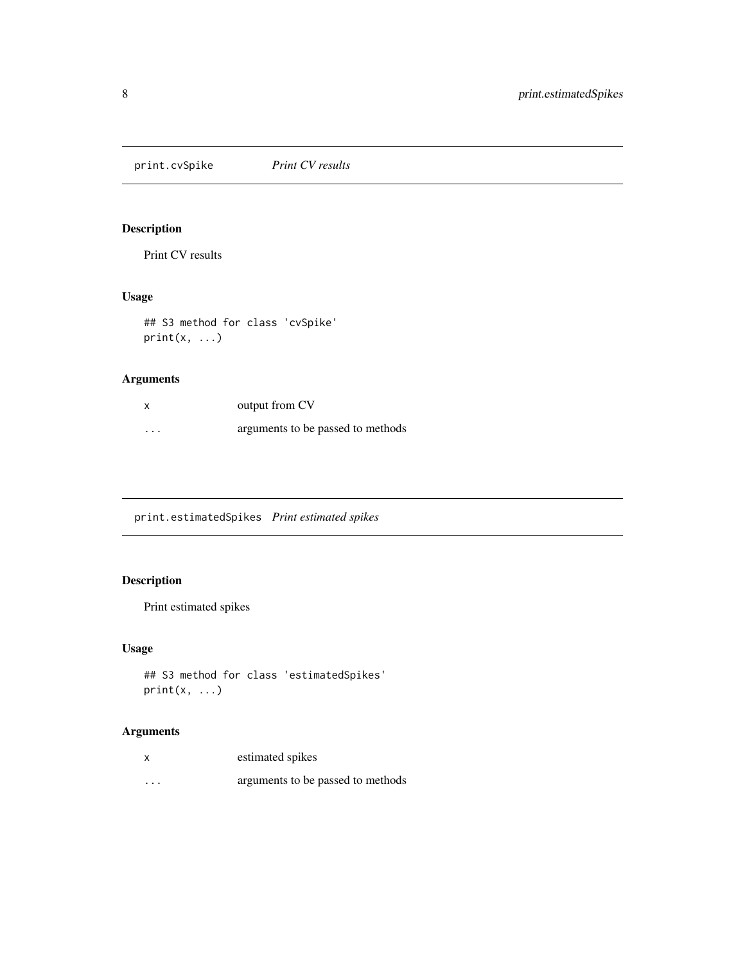<span id="page-7-2"></span><span id="page-7-0"></span>print.cvSpike *Print CV results*

# Description

Print CV results

# Usage

```
## S3 method for class 'cvSpike'
print(x, \ldots)
```
# Arguments

|          | output from CV                    |
|----------|-----------------------------------|
| $\cdots$ | arguments to be passed to methods |

<span id="page-7-1"></span>print.estimatedSpikes *Print estimated spikes*

# Description

Print estimated spikes

# Usage

```
## S3 method for class 'estimatedSpikes'
print(x, \ldots)
```
# Arguments

| X        | estimated spikes                  |
|----------|-----------------------------------|
| $\cdots$ | arguments to be passed to methods |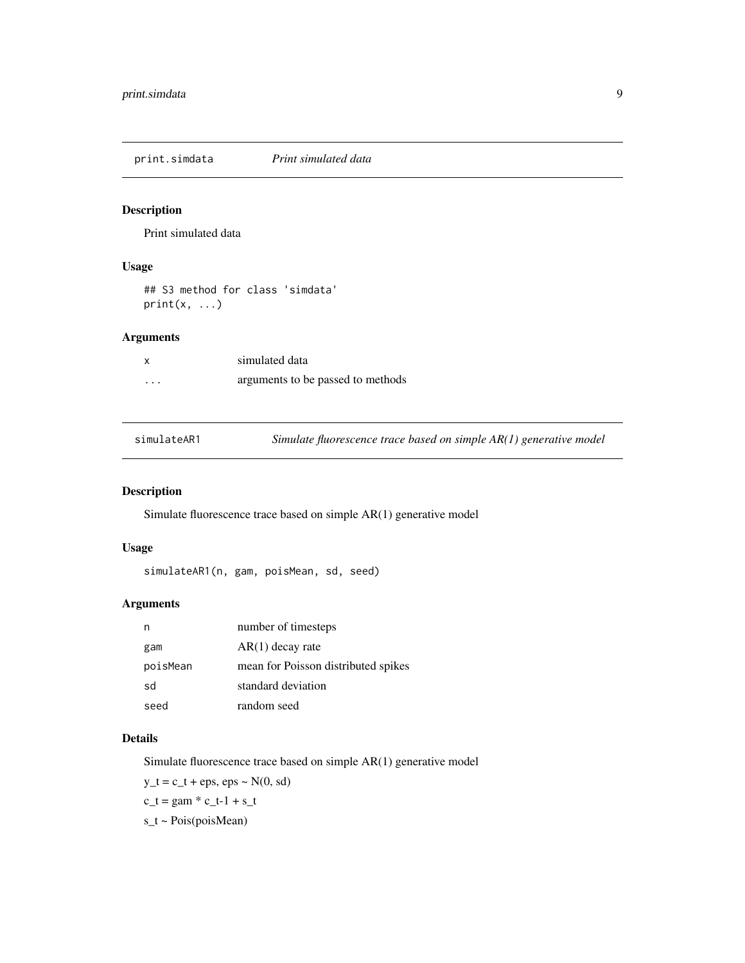<span id="page-8-0"></span>print.simdata *Print simulated data*

# Description

Print simulated data

# Usage

## S3 method for class 'simdata'  $print(x, \ldots)$ 

# Arguments

|          | simulated data                    |
|----------|-----------------------------------|
| $\cdots$ | arguments to be passed to methods |

<span id="page-8-1"></span>simulateAR1 *Simulate fluorescence trace based on simple AR(1) generative model*

# Description

Simulate fluorescence trace based on simple AR(1) generative model

### Usage

simulateAR1(n, gam, poisMean, sd, seed)

#### Arguments

| n        | number of timesteps                 |
|----------|-------------------------------------|
| gam      | $AR(1)$ decay rate                  |
| poisMean | mean for Poisson distributed spikes |
| sd       | standard deviation                  |
| seed     | random seed                         |

#### Details

Simulate fluorescence trace based on simple AR(1) generative model

 $y_t = c_t + eps$ ,  $eps \sim N(0, sd)$ 

$$
c_t = \text{gam} * c_t - 1 + s_t
$$

s\_t ~ Pois(poisMean)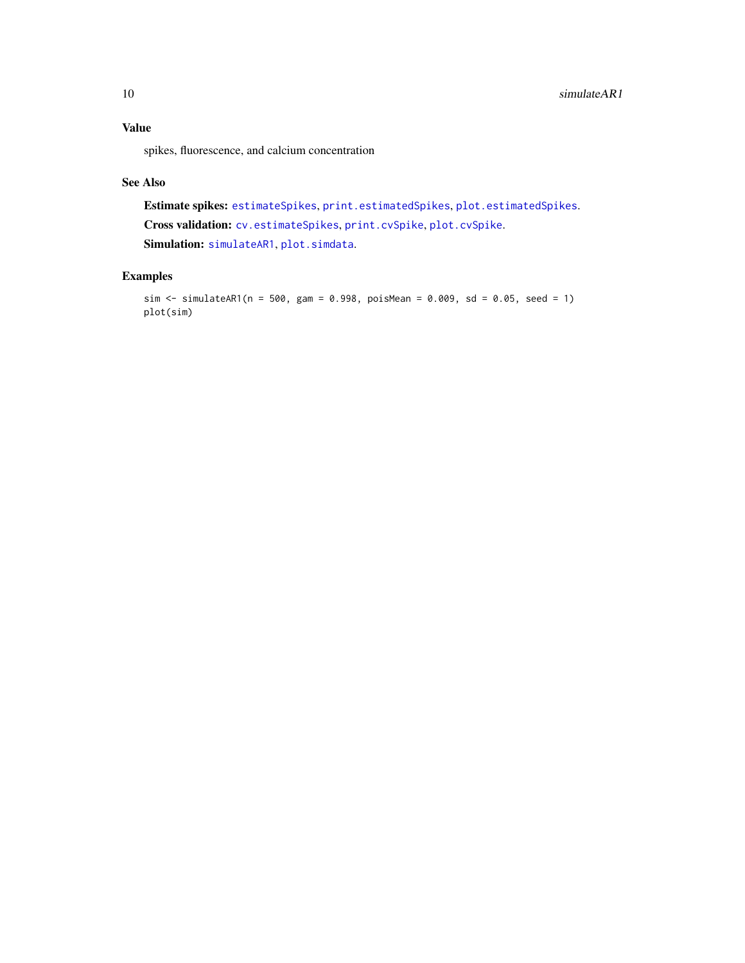<span id="page-9-0"></span>spikes, fluorescence, and calcium concentration

#### See Also

Estimate spikes: [estimateSpikes](#page-3-1), [print.estimatedSpikes](#page-7-1), [plot.estimatedSpikes](#page-5-1). Cross validation: [cv.estimateSpikes](#page-1-1), [print.cvSpike](#page-7-2), [plot.cvSpike](#page-5-2). Simulation: [simulateAR1](#page-8-1), [plot.simdata](#page-6-1).

# Examples

```
sim \le simulateAR1(n = 500, gam = 0.998, poisMean = 0.009, sd = 0.05, seed = 1)
plot(sim)
```